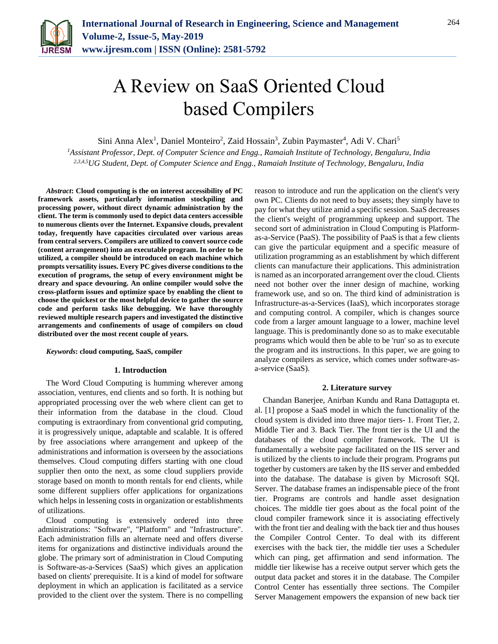

# A Review on SaaS Oriented Cloud based Compilers

Sini Anna Alex<sup>1</sup>, Daniel Monteiro<sup>2</sup>, Zaid Hossain<sup>3</sup>, Zubin Paymaster<sup>4</sup>, Adi V. Chari<sup>5</sup>

*<sup>1</sup>Assistant Professor, Dept. of Computer Science and Engg., Ramaiah Institute of Technology, Bengaluru, India 2,3,4,5UG Student, Dept. of Computer Science and Engg., Ramaiah Institute of Technology, Bengaluru, India*

*Abstract***: Cloud computing is the on interest accessibility of PC framework assets, particularly information stockpiling and processing power, without direct dynamic administration by the client. The term is commonly used to depict data centers accessible to numerous clients over the Internet. Expansive clouds, prevalent today, frequently have capacities circulated over various areas from central servers. Compilers are utilized to convert source code (content arrangement) into an executable program. In order to be utilized, a compiler should be introduced on each machine which prompts versatility issues. Every PC gives diverse conditions to the execution of programs, the setup of every environment might be dreary and space devouring. An online compiler would solve the cross-platform issues and optimize space by enabling the client to choose the quickest or the most helpful device to gather the source code and perform tasks like debugging. We have thoroughly reviewed multiple research papers and investigated the distinctive arrangements and confinements of usage of compilers on cloud distributed over the most recent couple of years.**

## *Keywords***: cloud computing, SaaS, compiler**

### **1. Introduction**

The Word Cloud Computing is humming wherever among association, ventures, end clients and so forth. It is nothing but appropriated processing over the web where client can get to their information from the database in the cloud. Cloud computing is extraordinary from conventional grid computing, it is progressively unique, adaptable and scalable. It is offered by free associations where arrangement and upkeep of the administrations and information is overseen by the associations themselves. Cloud computing differs starting with one cloud supplier then onto the next, as some cloud suppliers provide storage based on month to month rentals for end clients, while some different suppliers offer applications for organizations which helps in lessening costs in organization or establishments of utilizations.

Cloud computing is extensively ordered into three administrations: "Software", "Platform" and "Infrastructure". Each administration fills an alternate need and offers diverse items for organizations and distinctive individuals around the globe. The primary sort of administration in Cloud Computing is Software-as-a-Services (SaaS) which gives an application based on clients' prerequisite. It is a kind of model for software deployment in which an application is facilitated as a service provided to the client over the system. There is no compelling reason to introduce and run the application on the client's very own PC. Clients do not need to buy assets; they simply have to pay for what they utilize amid a specific session. SaaS decreases the client's weight of programming upkeep and support. The second sort of administration in Cloud Computing is Platformas-a-Service (PaaS). The possibility of PaaS is that a few clients can give the particular equipment and a specific measure of utilization programming as an establishment by which different clients can manufacture their applications. This administration is named as an incorporated arrangement over the cloud. Clients need not bother over the inner design of machine, working framework use, and so on. The third kind of administration is Infrastructure-as-a-Services (IaaS), which incorporates storage and computing control. A compiler, which is changes source code from a larger amount language to a lower, machine level language. This is predominantly done so as to make executable programs which would then be able to be 'run' so as to execute the program and its instructions. In this paper, we are going to analyze compilers as service, which comes under software-asa-service (SaaS).

#### **2. Literature survey**

Chandan Banerjee, Anirban Kundu and Rana Dattagupta et. al. [1] propose a SaaS model in which the functionality of the cloud system is divided into three major tiers- 1. Front Tier, 2. Middle Tier and 3. Back Tier. The front tier is the UI and the databases of the cloud compiler framework. The UI is fundamentally a website page facilitated on the IIS server and is utilized by the clients to include their program. Programs put together by customers are taken by the IIS server and embedded into the database. The database is given by Microsoft SQL Server. The database frames an indispensable piece of the front tier. Programs are controls and handle asset designation choices. The middle tier goes about as the focal point of the cloud compiler framework since it is associating effectively with the front tier and dealing with the back tier and thus houses the Compiler Control Center. To deal with its different exercises with the back tier, the middle tier uses a Scheduler which can ping, get affirmation and send information. The middle tier likewise has a receive output server which gets the output data packet and stores it in the database. The Compiler Control Center has essentially three sections. The Compiler Server Management empowers the expansion of new back tier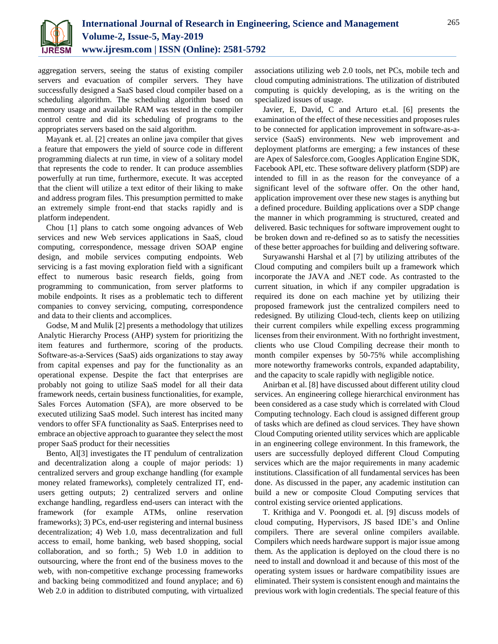

aggregation servers, seeing the status of existing compiler servers and evacuation of compiler servers. They have successfully designed a SaaS based cloud compiler based on a scheduling algorithm. The scheduling algorithm based on memory usage and available RAM was tested in the compiler control centre and did its scheduling of programs to the appropriates servers based on the said algorithm.

Mayank et. al. [2] creates an online java compiler that gives a feature that empowers the yield of source code in different programming dialects at run time, in view of a solitary model that represents the code to render. It can produce assemblies powerfully at run time, furthermore, execute. It was accepted that the client will utilize a text editor of their liking to make and address program files. This presumption permitted to make an extremely simple front-end that stacks rapidly and is platform independent.

Chou [1] plans to catch some ongoing advances of Web services and new Web services applications in SaaS, cloud computing, correspondence, message driven SOAP engine design, and mobile services computing endpoints. Web servicing is a fast moving exploration field with a significant effect to numerous basic research fields, going from programming to communication, from server platforms to mobile endpoints. It rises as a problematic tech to different companies to convey servicing, computing, correspondence and data to their clients and accomplices.

Godse, M and Mulik [2] presents a methodology that utilizes Analytic Hierarchy Process (AHP) system for prioritizing the item features and furthermore, scoring of the products. Software-as-a-Services (SaaS) aids organizations to stay away from capital expenses and pay for the functionality as an operational expense. Despite the fact that enterprises are probably not going to utilize SaaS model for all their data framework needs, certain business functionalities, for example, Sales Forces Automation (SFA), are more observed to be executed utilizing SaaS model. Such interest has incited many vendors to offer SFA functionality as SaaS. Enterprises need to embrace an objective approach to guarantee they select the most proper SaaS product for their necessities

Bento, Al[3] investigates the IT pendulum of centralization and decentralization along a couple of major periods: 1) centralized servers and group exchange handling (for example money related frameworks), completely centralized IT, endusers getting outputs; 2) centralized servers and online exchange handling, regardless end-users can interact with the framework (for example ATMs, online reservation frameworks); 3) PCs, end-user registering and internal business decentralization; 4) Web 1.0, mass decentralization and full access to email, home banking, web based shopping, social collaboration, and so forth.; 5) Web 1.0 in addition to outsourcing, where the front end of the business moves to the web, with non-competitive exchange processing frameworks and backing being commoditized and found anyplace; and 6) Web 2.0 in addition to distributed computing, with virtualized

associations utilizing web 2.0 tools, net PCs, mobile tech and cloud computing administrations. The utilization of distributed computing is quickly developing, as is the writing on the specialized issues of usage.

Javier, E, David, C and Arturo et.al. [6] presents the examination of the effect of these necessities and proposes rules to be connected for application improvement in software-as-aservice (SaaS) environments. New web improvement and deployment platforms are emerging; a few instances of these are Apex of Salesforce.com, Googles Application Engine SDK, Facebook API, etc. These software delivery platform (SDP) are intended to fill in as the reason for the conveyance of a significant level of the software offer. On the other hand, application improvement over these new stages is anything but a defined procedure. Building applications over a SDP change the manner in which programming is structured, created and delivered. Basic techniques for software improvement ought to be broken down and re-defined so as to satisfy the necessities of these better approaches for building and delivering software.

Suryawanshi Harshal et al [7] by utilizing attributes of the Cloud computing and compilers built up a framework which incorporate the JAVA and .NET code. As contrasted to the current situation, in which if any compiler upgradation is required its done on each machine yet by utilizing their proposed framework just the centralized compilers need to redesigned. By utilizing Cloud-tech, clients keep on utilizing their current compilers while expelling excess programming licenses from their environment. With no forthright investment, clients who use Cloud Compiling decrease their month to month compiler expenses by 50-75% while accomplishing more noteworthy frameworks controls, expanded adaptability, and the capacity to scale rapidly with negligible notice.

Anirban et al. [8] have discussed about different utility cloud services. An engineering college hierarchical environment has been considered as a case study which is correlated with Cloud Computing technology. Each cloud is assigned different group of tasks which are defined as cloud services. They have shown Cloud Computing oriented utility services which are applicable in an engineering college environment. In this framework, the users are successfully deployed different Cloud Computing services which are the major requirements in many academic institutions. Classification of all fundamental services has been done. As discussed in the paper, any academic institution can build a new or composite Cloud Computing services that control existing service oriented applications.

T. Krithiga and V. Poongodi et. al. [9] discuss models of cloud computing, Hypervisors, JS based IDE's and Online compilers. There are several online compilers available. Compilers which needs hardware support is major issue among them. As the application is deployed on the cloud there is no need to install and download it and because of this most of the operating system issues or hardware compatibility issues are eliminated. Their system is consistent enough and maintains the previous work with login credentials. The special feature of this